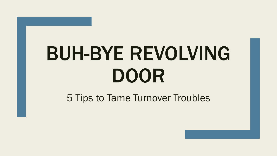# BUH-BYE REVOLVING DOOR

5 Tips to Tame Turnover Troubles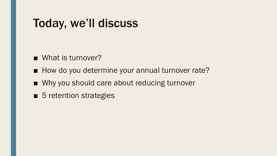## Today, we'll discuss

- What is turnover?
- How do you determine your annual turnover rate?
- Why you should care about reducing turnover
- 5 retention strategies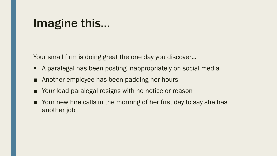### Imagine this…

Your small firm is doing great the one day you discover...

- A paralegal has been posting inappropriately on social media
- Another employee has been padding her hours
- Your lead paralegal resigns with no notice or reason
- Your new hire calls in the morning of her first day to say she has another job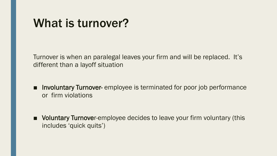### What is turnover?

Turnover is when an paralegal leaves your firm and will be replaced. It's different than a layoff situation

- Involuntary Turnover- employee is terminated for poor job performance or firm violations
- Voluntary Turnover-employee decides to leave your firm voluntary (this includes 'quick quits')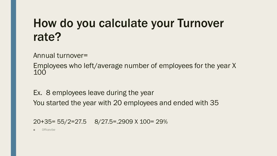## How do you calculate your Turnover rate?

Annual turnover=

Employees who left/average number of employees for the year X 100

Ex. 8 employees leave during the year You started the year with 20 employees and ended with 35

20+35= 55/2=27.5 8/27.5=.2909 X 100= 29%

**Officevibe**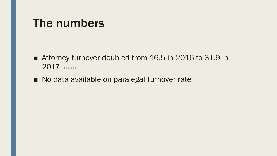### The numbers

■ Attorney turnover doubled from 16.5 in 2016 to 31.9 in 2017 Law360

■ No data available on paralegal turnover rate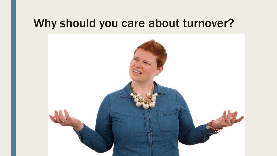### Why should you care about turnover?

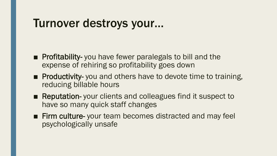### Turnover destroys your…

- Profitability- you have fewer paralegals to bill and the expense of rehiring so profitability goes down
- Productivity- you and others have to devote time to training, reducing billable hours
- Reputation- your clients and colleagues find it suspect to have so many quick staff changes
- Firm culture- your team becomes distracted and may feel psychologically unsafe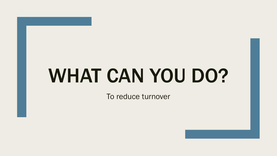## WHAT CAN YOU DO?

To reduce turnover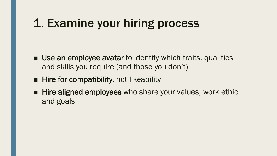## 1. Examine your hiring process

- Use an employee avatar to identify which traits, qualities and skills you require (and those you don't)
- Hire for compatibility, not likeability
- Hire aligned employees who share your values, work ethic and goals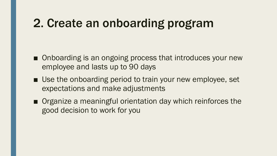## 2. Create an onboarding program

- Onboarding is an ongoing process that introduces your new employee and lasts up to 90 days
- Use the onboarding period to train your new employee, set expectations and make adjustments
- Organize a meaningful orientation day which reinforces the good decision to work for you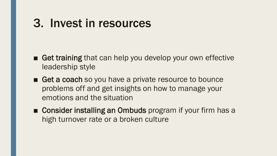### 3. Invest in resources

- Get training that can help you develop your own effective leadership style
- Get a coach so you have a private resource to bounce problems off and get insights on how to manage your emotions and the situation
- Consider installing an Ombuds program if your firm has a high turnover rate or a broken culture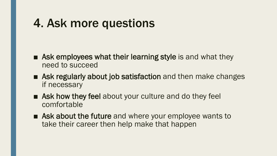## 4. Ask more questions

- Ask employees what their learning style is and what they need to succeed
- Ask regularly about job satisfaction and then make changes if necessary
- Ask how they feel about your culture and do they feel comfortable
- Ask about the future and where your employee wants to take their career then help make that happen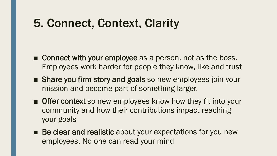## 5. Connect, Context, Clarity

- Connect with your employee as a person, not as the boss. Employees work harder for people they know, like and trust
- Share you firm story and goals so new employees join your mission and become part of something larger.
- Offer context so new employees know how they fit into your community and how their contributions impact reaching your goals
- Be clear and realistic about your expectations for you new employees. No one can read your mind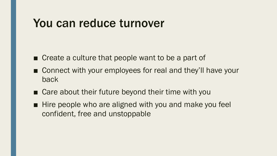#### You can reduce turnover

- Create a culture that people want to be a part of
- Connect with your employees for real and they'll have your back
- Care about their future beyond their time with you
- Hire people who are aligned with you and make you feel confident, free and unstoppable